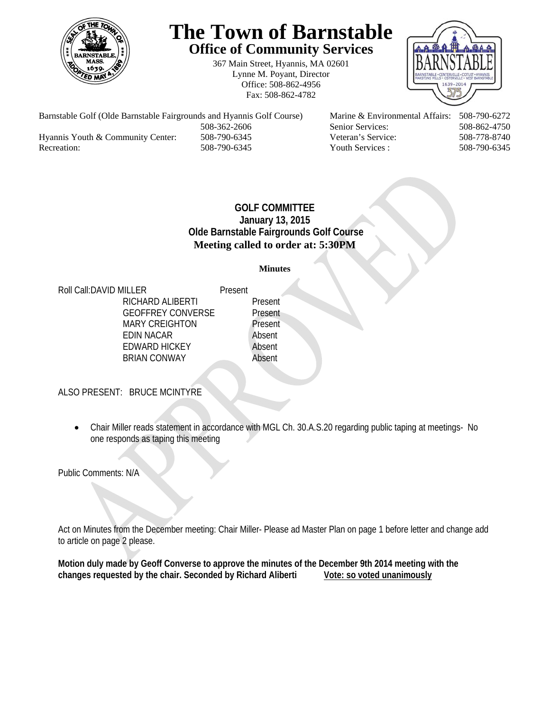

# **The Town of Barnstable Office of Community Services**

367 Main Street, Hyannis, MA 02601 Lynne M. Poyant, Director Office: 508-862-4956 Fax: 508-862-4782



Barnstable Golf (Olde Barnstable Fairgrounds and Hyannis Golf Course) Marine & Environmental Affairs: 508-790-6272 508-362-2606 Senior Services: 508-862-4750 Hyannis Youth & Community Center: 508-790-6345 Veteran's Service: 508-778-8740 Recreation: 508-790-6345 Youth Services : 508-790-6345 S08-790-6345

## **GOLF COMMITTEE January 13, 2015 Olde Barnstable Fairgrounds Golf Course Meeting called to order at: 5:30PM**

#### **Minutes**

Roll Call: DAVID MILLER Present RICHARD ALIBERTI Present GEOFFREY CONVERSE Present MARY CREIGHTON Present EDIN NACAR Absent EDWARD HICKEY Absent BRIAN CONWAY Absent

ALSO PRESENT: BRUCE MCINTYRE

 Chair Miller reads statement in accordance with MGL Ch. 30.A.S.20 regarding public taping at meetings- No one responds as taping this meeting

Public Comments: N/A

Act on Minutes from the December meeting: Chair Miller- Please ad Master Plan on page 1 before letter and change add to article on page 2 please.

**Motion duly made by Geoff Converse to approve the minutes of the December 9th 2014 meeting with the**  changes requested by the chair. Seconded by Richard Aliberti Vote: so voted unanimously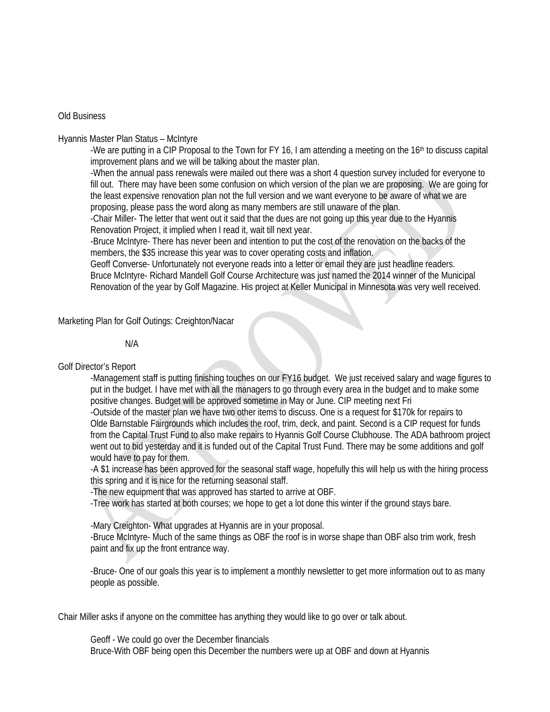#### Old Business

#### Hyannis Master Plan Status – McIntyre

-We are putting in a CIP Proposal to the Town for FY 16, I am attending a meeting on the 16<sup>th</sup> to discuss capital improvement plans and we will be talking about the master plan.

-When the annual pass renewals were mailed out there was a short 4 question survey included for everyone to fill out. There may have been some confusion on which version of the plan we are proposing. We are going for the least expensive renovation plan not the full version and we want everyone to be aware of what we are proposing, please pass the word along as many members are still unaware of the plan.

-Chair Miller- The letter that went out it said that the dues are not going up this year due to the Hyannis Renovation Project, it implied when I read it, wait till next year.

-Bruce McIntyre- There has never been and intention to put the cost of the renovation on the backs of the members, the \$35 increase this year was to cover operating costs and inflation.

Geoff Converse- Unfortunately not everyone reads into a letter or email they are just headline readers. Bruce McIntyre- Richard Mandell Golf Course Architecture was just named the 2014 winner of the Municipal Renovation of the year by Golf Magazine. His project at Keller Municipal in Minnesota was very well received.

Marketing Plan for Golf Outings: Creighton/Nacar

#### N/A

Golf Director's Report

-Management staff is putting finishing touches on our FY16 budget. We just received salary and wage figures to put in the budget. I have met with all the managers to go through every area in the budget and to make some positive changes. Budget will be approved sometime in May or June. CIP meeting next Fri

 -Outside of the master plan we have two other items to discuss. One is a request for \$170k for repairs to Olde Barnstable Fairgrounds which includes the roof, trim, deck, and paint. Second is a CIP request for funds from the Capital Trust Fund to also make repairs to Hyannis Golf Course Clubhouse. The ADA bathroom project went out to bid yesterday and it is funded out of the Capital Trust Fund. There may be some additions and golf would have to pay for them.

-A \$1 increase has been approved for the seasonal staff wage, hopefully this will help us with the hiring process this spring and it is nice for the returning seasonal staff.

-The new equipment that was approved has started to arrive at OBF.

-Tree work has started at both courses; we hope to get a lot done this winter if the ground stays bare.

-Mary Creighton- What upgrades at Hyannis are in your proposal.

-Bruce McIntyre- Much of the same things as OBF the roof is in worse shape than OBF also trim work, fresh paint and fix up the front entrance way.

-Bruce- One of our goals this year is to implement a monthly newsletter to get more information out to as many people as possible.

Chair Miller asks if anyone on the committee has anything they would like to go over or talk about.

 Geoff - We could go over the December financials Bruce-With OBF being open this December the numbers were up at OBF and down at Hyannis